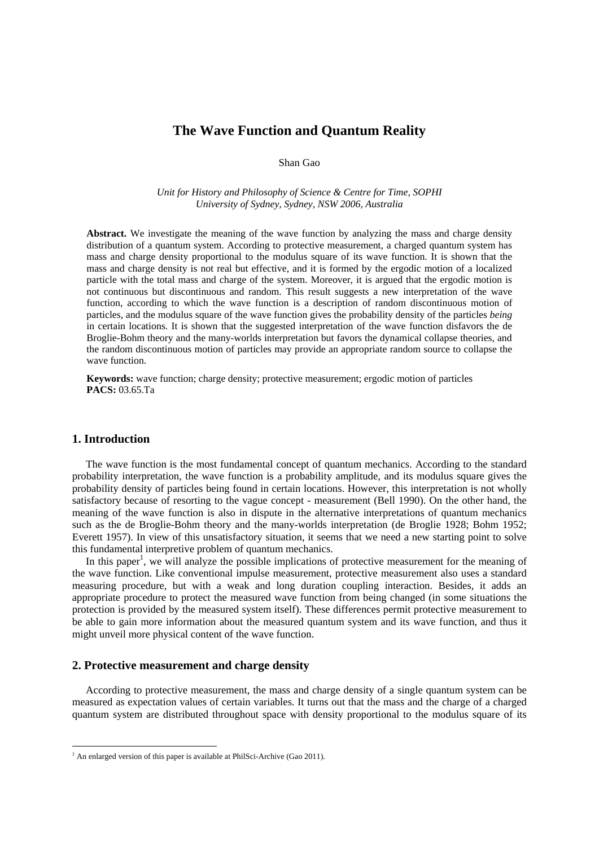# **The Wave Function and Quantum Reality**

Shan Gao

*Unit for History and Philosophy of Science & Centre for Time, SOPHI University of Sydney, Sydney, NSW 2006, Australia* 

**Abstract.** We investigate the meaning of the wave function by analyzing the mass and charge density distribution of a quantum system. According to protective measurement, a charged quantum system has mass and charge density proportional to the modulus square of its wave function. It is shown that the mass and charge density is not real but effective, and it is formed by the ergodic motion of a localized particle with the total mass and charge of the system. Moreover, it is argued that the ergodic motion is not continuous but discontinuous and random. This result suggests a new interpretation of the wave function, according to which the wave function is a description of random discontinuous motion of particles, and the modulus square of the wave function gives the probability density of the particles *being* in certain locations. It is shown that the suggested interpretation of the wave function disfavors the de Broglie-Bohm theory and the many-worlds interpretation but favors the dynamical collapse theories, and the random discontinuous motion of particles may provide an appropriate random source to collapse the wave function.

**Keywords:** wave function; charge density; protective measurement; ergodic motion of particles **PACS:** 03.65.Ta

#### **1. Introduction**

 $\overline{a}$ 

The wave function is the most fundamental concept of quantum mechanics. According to the standard probability interpretation, the wave function is a probability amplitude, and its modulus square gives the probability density of particles being found in certain locations. However, this interpretation is not wholly satisfactory because of resorting to the vague concept - measurement (Bell 1990). On the other hand, the meaning of the wave function is also in dispute in the alternative interpretations of quantum mechanics such as the de Broglie-Bohm theory and the many-worlds interpretation (de Broglie 1928; Bohm 1952; Everett 1957). In view of this unsatisfactory situation, it seems that we need a new starting point to solve this fundamental interpretive problem of quantum mechanics.

In this paper<sup>1</sup>, we will analyze the possible implications of protective measurement for the meaning of the wave function. Like conventional impulse measurement, protective measurement also uses a standard measuring procedure, but with a weak and long duration coupling interaction. Besides, it adds an appropriate procedure to protect the measured wave function from being changed (in some situations the protection is provided by the measured system itself). These differences permit protective measurement to be able to gain more information about the measured quantum system and its wave function, and thus it might unveil more physical content of the wave function.

# **2. Protective measurement and charge density**

According to protective measurement, the mass and charge density of a single quantum system can be measured as expectation values of certain variables. It turns out that the mass and the charge of a charged quantum system are distributed throughout space with density proportional to the modulus square of its

<sup>&</sup>lt;sup>1</sup> An enlarged version of this paper is available at PhilSci-Archive (Gao 2011).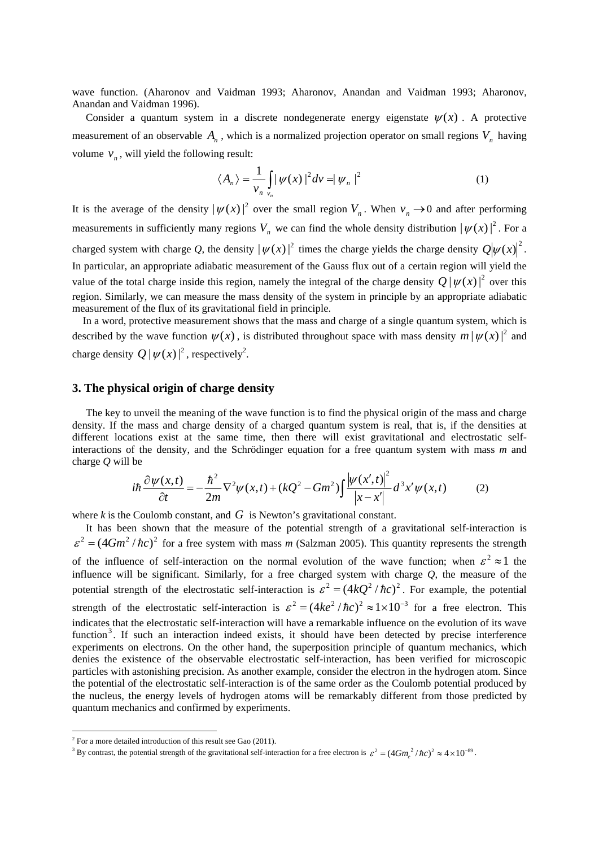wave function. (Aharonov and Vaidman 1993; Aharonov, Anandan and Vaidman 1993; Aharonov, Anandan and Vaidman 1996).

Consider a quantum system in a discrete nondegenerate energy eigenstate  $\psi(x)$ . A protective measurement of an observable  $A_n$ , which is a normalized projection operator on small regions  $V_n$  having volume  $v_n$ , will yield the following result:

$$
\langle A_n \rangle = \frac{1}{v_n} \int_{v_n} |\psi(x)|^2 dv = |\psi_n|^2 \tag{1}
$$

It is the average of the density  $|\psi(x)|^2$  over the small region  $V_n$ . When  $v_n \to 0$  and after performing measurements in sufficiently many regions  $V_n$  we can find the whole density distribution  $|\psi(x)|^2$ . For a charged system with charge Q, the density  $|\psi(x)|^2$  times the charge yields the charge density  $Q|\psi(x)|^2$ . In particular, an appropriate adiabatic measurement of the Gauss flux out of a certain region will yield the value of the total charge inside this region, namely the integral of the charge density  $Q | \psi(x)|^2$  over this region. Similarly, we can measure the mass density of the system in principle by an appropriate adiabatic measurement of the flux of its gravitational field in principle.

In a word, protective measurement shows that the mass and charge of a single quantum system, which is described by the wave function  $\psi(x)$ , is distributed throughout space with mass density  $m |\psi(x)|^2$  and charge density  $Q|\psi(x)|^2$ , respectively<sup>2</sup>.

## **3. The physical origin of charge density**

The key to unveil the meaning of the wave function is to find the physical origin of the mass and charge density. If the mass and charge density of a charged quantum system is real, that is, if the densities at different locations exist at the same time, then there will exist gravitational and electrostatic selfinteractions of the density, and the Schrödinger equation for a free quantum system with mass *m* and charge *Q* will be

$$
i\hbar \frac{\partial \psi(x,t)}{\partial t} = -\frac{\hbar^2}{2m} \nabla^2 \psi(x,t) + (kQ^2 - Gm^2) \int \frac{|\psi(x',t)|^2}{|x-x'|} d^3 x' \psi(x,t) \tag{2}
$$

where  $k$  is the Coulomb constant, and  $G$  is Newton's gravitational constant.

It has been shown that the measure of the potential strength of a gravitational self-interaction is  $\epsilon^2 = (4Gm^2/\hbar c)^2$  for a free system with mass *m* (Salzman 2005). This quantity represents the strength of the influence of self-interaction on the normal evolution of the wave function; when  $\epsilon^2 \approx 1$  the influence will be significant. Similarly, for a free charged system with charge *Q*, the measure of the potential strength of the electrostatic self-interaction is  $\varepsilon^2 = (4kQ^2/\hbar c)^2$ . For example, the potential strength of the electrostatic self-interaction is  $\varepsilon^2 = (4ke^2/\hbar c)^2 \approx 1 \times 10^{-3}$  for a free electron. This indicates that the electrostatic self-interaction will have a remarkable influence on the evolution of its wave function<sup>3</sup>. If such an interaction indeed exists, it should have been detected by precise interference experiments on electrons. On the other hand, the superposition principle of quantum mechanics, which denies the existence of the observable electrostatic self-interaction, has been verified for microscopic particles with astonishing precision. As another example, consider the electron in the hydrogen atom. Since the potential of the electrostatic self-interaction is of the same order as the Coulomb potential produced by the nucleus, the energy levels of hydrogen atoms will be remarkably different from those predicted by quantum mechanics and confirmed by experiments.

 $\overline{a}$ 

 $2^2$  For a more detailed introduction of this result see Gao (2011).

<sup>&</sup>lt;sup>3</sup> By contrast, the potential strength of the gravitational self-interaction for a free electron is  $\varepsilon^2 = (4Gm_e^2/\hbar c)^2 \approx 4 \times 10^{-89}$ .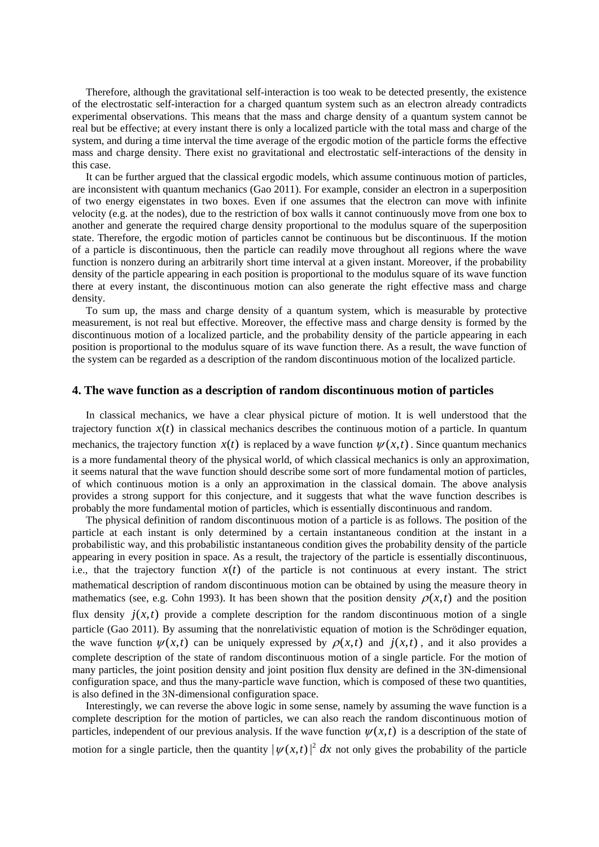Therefore, although the gravitational self-interaction is too weak to be detected presently, the existence of the electrostatic self-interaction for a charged quantum system such as an electron already contradicts experimental observations. This means that the mass and charge density of a quantum system cannot be real but be effective; at every instant there is only a localized particle with the total mass and charge of the system, and during a time interval the time average of the ergodic motion of the particle forms the effective mass and charge density. There exist no gravitational and electrostatic self-interactions of the density in this case.

It can be further argued that the classical ergodic models, which assume continuous motion of particles, are inconsistent with quantum mechanics (Gao 2011). For example, consider an electron in a superposition of two energy eigenstates in two boxes. Even if one assumes that the electron can move with infinite velocity (e.g. at the nodes), due to the restriction of box walls it cannot continuously move from one box to another and generate the required charge density proportional to the modulus square of the superposition state. Therefore, the ergodic motion of particles cannot be continuous but be discontinuous. If the motion of a particle is discontinuous, then the particle can readily move throughout all regions where the wave function is nonzero during an arbitrarily short time interval at a given instant. Moreover, if the probability density of the particle appearing in each position is proportional to the modulus square of its wave function there at every instant, the discontinuous motion can also generate the right effective mass and charge density.

To sum up, the mass and charge density of a quantum system, which is measurable by protective measurement, is not real but effective. Moreover, the effective mass and charge density is formed by the discontinuous motion of a localized particle, and the probability density of the particle appearing in each position is proportional to the modulus square of its wave function there. As a result, the wave function of the system can be regarded as a description of the random discontinuous motion of the localized particle.

# **4. The wave function as a description of random discontinuous motion of particles**

In classical mechanics, we have a clear physical picture of motion. It is well understood that the trajectory function  $x(t)$  in classical mechanics describes the continuous motion of a particle. In quantum mechanics, the trajectory function  $x(t)$  is replaced by a wave function  $\psi(x,t)$ . Since quantum mechanics is a more fundamental theory of the physical world, of which classical mechanics is only an approximation, it seems natural that the wave function should describe some sort of more fundamental motion of particles, of which continuous motion is a only an approximation in the classical domain. The above analysis provides a strong support for this conjecture, and it suggests that what the wave function describes is probably the more fundamental motion of particles, which is essentially discontinuous and random.

The physical definition of random discontinuous motion of a particle is as follows. The position of the particle at each instant is only determined by a certain instantaneous condition at the instant in a probabilistic way, and this probabilistic instantaneous condition gives the probability density of the particle appearing in every position in space. As a result, the trajectory of the particle is essentially discontinuous, i.e., that the trajectory function  $x(t)$  of the particle is not continuous at every instant. The strict mathematical description of random discontinuous motion can be obtained by using the measure theory in mathematics (see, e.g. Cohn 1993). It has been shown that the position density  $\rho(x,t)$  and the position flux density  $j(x,t)$  provide a complete description for the random discontinuous motion of a single particle (Gao 2011). By assuming that the nonrelativistic equation of motion is the Schrödinger equation, the wave function  $\psi(x,t)$  can be uniquely expressed by  $\rho(x,t)$  and  $j(x,t)$ , and it also provides a complete description of the state of random discontinuous motion of a single particle. For the motion of many particles, the joint position density and joint position flux density are defined in the 3N-dimensional configuration space, and thus the many-particle wave function, which is composed of these two quantities, is also defined in the 3N-dimensional configuration space.

Interestingly, we can reverse the above logic in some sense, namely by assuming the wave function is a complete description for the motion of particles, we can also reach the random discontinuous motion of particles, independent of our previous analysis. If the wave function  $\psi(x,t)$  is a description of the state of motion for a single particle, then the quantity  $|\psi(x,t)|^2 dx$  not only gives the probability of the particle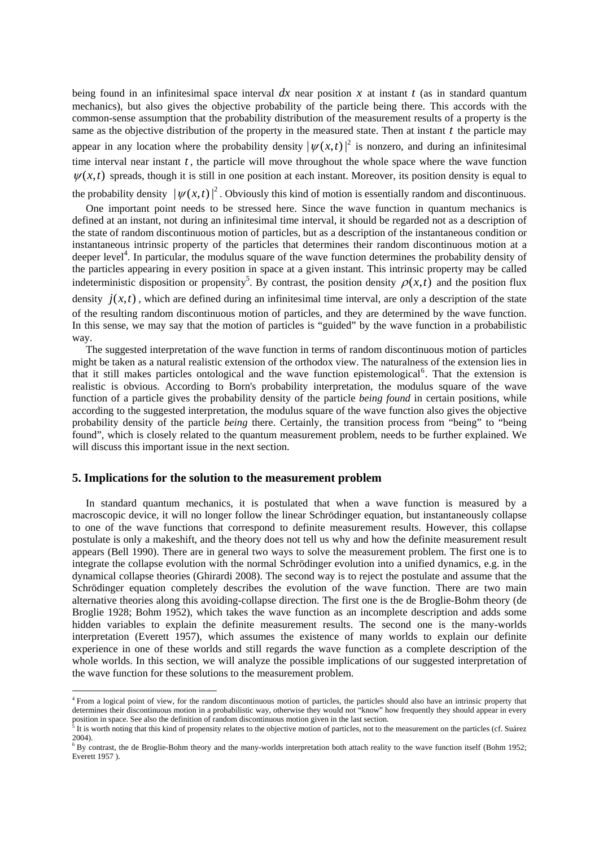being found in an infinitesimal space interval  $dx$  near position  $x$  at instant  $t$  (as in standard quantum mechanics), but also gives the objective probability of the particle being there. This accords with the common-sense assumption that the probability distribution of the measurement results of a property is the same as the objective distribution of the property in the measured state. Then at instant *t* the particle may appear in any location where the probability density  $|\psi(x,t)|^2$  is nonzero, and during an infinitesimal time interval near instant *t* , the particle will move throughout the whole space where the wave function  $\psi(x,t)$  spreads, though it is still in one position at each instant. Moreover, its position density is equal to

the probability density  $|\psi(x,t)|^2$ . Obviously this kind of motion is essentially random and discontinuous.

One important point needs to be stressed here. Since the wave function in quantum mechanics is defined at an instant, not during an infinitesimal time interval, it should be regarded not as a description of the state of random discontinuous motion of particles, but as a description of the instantaneous condition or instantaneous intrinsic property of the particles that determines their random discontinuous motion at a deeper level<sup>4</sup>. In particular, the modulus square of the wave function determines the probability density of the particles appearing in every position in space at a given instant. This intrinsic property may be called indeterministic disposition or propensity<sup>5</sup>. By contrast, the position density  $\rho(x,t)$  and the position flux

density  $j(x,t)$ , which are defined during an infinitesimal time interval, are only a description of the state of the resulting random discontinuous motion of particles, and they are determined by the wave function. In this sense, we may say that the motion of particles is "guided" by the wave function in a probabilistic way.

The suggested interpretation of the wave function in terms of random discontinuous motion of particles might be taken as a natural realistic extension of the orthodox view. The naturalness of the extension lies in that it still makes particles ontological and the wave function epistemological<sup>6</sup>. That the extension is realistic is obvious. According to Born's probability interpretation, the modulus square of the wave function of a particle gives the probability density of the particle *being found* in certain positions, while according to the suggested interpretation, the modulus square of the wave function also gives the objective probability density of the particle *being* there. Certainly, the transition process from "being" to "being found", which is closely related to the quantum measurement problem, needs to be further explained. We will discuss this important issue in the next section.

### **5. Implications for the solution to the measurement problem**

 $\overline{a}$ 

In standard quantum mechanics, it is postulated that when a wave function is measured by a macroscopic device, it will no longer follow the linear Schrödinger equation, but instantaneously collapse to one of the wave functions that correspond to definite measurement results. However, this collapse postulate is only a makeshift, and the theory does not tell us why and how the definite measurement result appears (Bell 1990). There are in general two ways to solve the measurement problem. The first one is to integrate the collapse evolution with the normal Schrödinger evolution into a unified dynamics, e.g. in the dynamical collapse theories (Ghirardi 2008). The second way is to reject the postulate and assume that the Schrödinger equation completely describes the evolution of the wave function. There are two main alternative theories along this avoiding-collapse direction. The first one is the de Broglie-Bohm theory (de Broglie 1928; Bohm 1952), which takes the wave function as an incomplete description and adds some hidden variables to explain the definite measurement results. The second one is the many-worlds interpretation (Everett 1957), which assumes the existence of many worlds to explain our definite experience in one of these worlds and still regards the wave function as a complete description of the whole worlds. In this section, we will analyze the possible implications of our suggested interpretation of the wave function for these solutions to the measurement problem.

<sup>&</sup>lt;sup>4</sup> From a logical point of view, for the random discontinuous motion of particles, the particles should also have an intrinsic property that determines their discontinuous motion in a probabilistic way, otherwise they would not "know" how frequently they should appear in every position in space. See also the definition of random discontinuous motion given in the last section.

It is worth noting that this kind of propensity relates to the objective motion of particles, not to the measurement on the particles (cf. Suárez 2004).

 $6$  By contrast, the de Broglie-Bohm theory and the many-worlds interpretation both attach reality to the wave function itself (Bohm 1952; Everett 1957 ).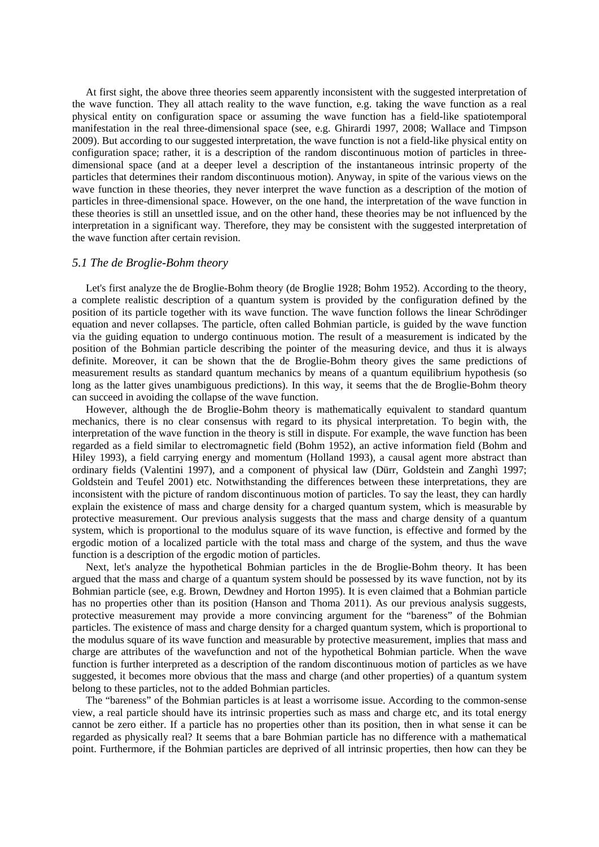At first sight, the above three theories seem apparently inconsistent with the suggested interpretation of the wave function. They all attach reality to the wave function, e.g. taking the wave function as a real physical entity on configuration space or assuming the wave function has a field-like spatiotemporal manifestation in the real three-dimensional space (see, e.g. Ghirardi 1997, 2008; Wallace and Timpson 2009). But according to our suggested interpretation, the wave function is not a field-like physical entity on configuration space; rather, it is a description of the random discontinuous motion of particles in threedimensional space (and at a deeper level a description of the instantaneous intrinsic property of the particles that determines their random discontinuous motion). Anyway, in spite of the various views on the wave function in these theories, they never interpret the wave function as a description of the motion of particles in three-dimensional space. However, on the one hand, the interpretation of the wave function in these theories is still an unsettled issue, and on the other hand, these theories may be not influenced by the interpretation in a significant way. Therefore, they may be consistent with the suggested interpretation of the wave function after certain revision.

### *5.1 The de Broglie-Bohm theory*

Let's first analyze the de Broglie-Bohm theory (de Broglie 1928; Bohm 1952). According to the theory, a complete realistic description of a quantum system is provided by the configuration defined by the position of its particle together with its wave function. The wave function follows the linear Schrödinger equation and never collapses. The particle, often called Bohmian particle, is guided by the wave function via the guiding equation to undergo continuous motion. The result of a measurement is indicated by the position of the Bohmian particle describing the pointer of the measuring device, and thus it is always definite. Moreover, it can be shown that the de Broglie-Bohm theory gives the same predictions of measurement results as standard quantum mechanics by means of a quantum equilibrium hypothesis (so long as the latter gives unambiguous predictions). In this way, it seems that the de Broglie-Bohm theory can succeed in avoiding the collapse of the wave function.

However, although the de Broglie-Bohm theory is mathematically equivalent to standard quantum mechanics, there is no clear consensus with regard to its physical interpretation. To begin with, the interpretation of the wave function in the theory is still in dispute. For example, the wave function has been regarded as a field similar to electromagnetic field (Bohm 1952), an active information field (Bohm and Hiley 1993), a field carrying energy and momentum (Holland 1993), a causal agent more abstract than ordinary fields (Valentini 1997), and a component of physical law (Dürr, Goldstein and Zanghì 1997; Goldstein and Teufel 2001) etc. Notwithstanding the differences between these interpretations, they are inconsistent with the picture of random discontinuous motion of particles. To say the least, they can hardly explain the existence of mass and charge density for a charged quantum system, which is measurable by protective measurement. Our previous analysis suggests that the mass and charge density of a quantum system, which is proportional to the modulus square of its wave function, is effective and formed by the ergodic motion of a localized particle with the total mass and charge of the system, and thus the wave function is a description of the ergodic motion of particles.

Next, let's analyze the hypothetical Bohmian particles in the de Broglie-Bohm theory. It has been argued that the mass and charge of a quantum system should be possessed by its wave function, not by its Bohmian particle (see, e.g. Brown, Dewdney and Horton 1995). It is even claimed that a Bohmian particle has no properties other than its position (Hanson and Thoma 2011). As our previous analysis suggests, protective measurement may provide a more convincing argument for the "bareness" of the Bohmian particles. The existence of mass and charge density for a charged quantum system, which is proportional to the modulus square of its wave function and measurable by protective measurement, implies that mass and charge are attributes of the wavefunction and not of the hypothetical Bohmian particle. When the wave function is further interpreted as a description of the random discontinuous motion of particles as we have suggested, it becomes more obvious that the mass and charge (and other properties) of a quantum system belong to these particles, not to the added Bohmian particles.

The "bareness" of the Bohmian particles is at least a worrisome issue. According to the common-sense view, a real particle should have its intrinsic properties such as mass and charge etc, and its total energy cannot be zero either. If a particle has no properties other than its position, then in what sense it can be regarded as physically real? It seems that a bare Bohmian particle has no difference with a mathematical point. Furthermore, if the Bohmian particles are deprived of all intrinsic properties, then how can they be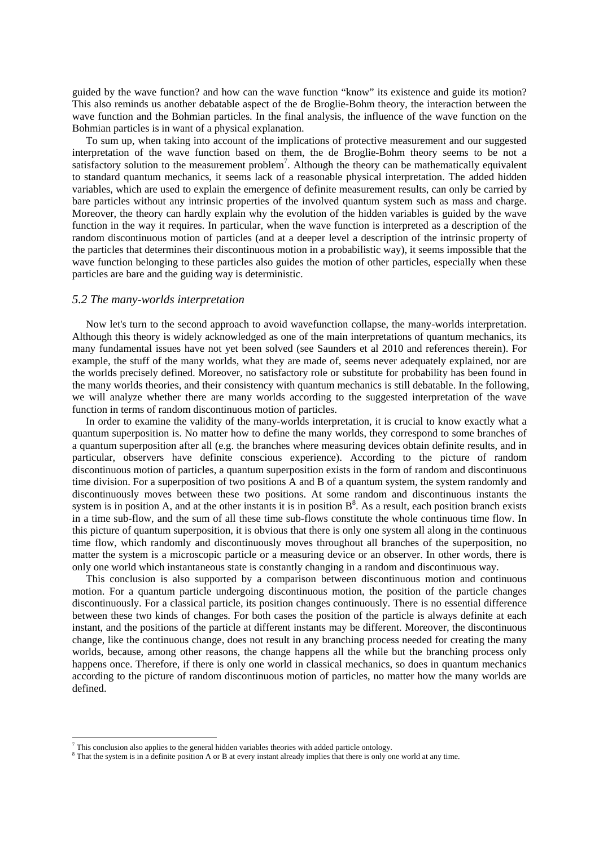guided by the wave function? and how can the wave function "know" its existence and guide its motion? This also reminds us another debatable aspect of the de Broglie-Bohm theory, the interaction between the wave function and the Bohmian particles. In the final analysis, the influence of the wave function on the Bohmian particles is in want of a physical explanation.

To sum up, when taking into account of the implications of protective measurement and our suggested interpretation of the wave function based on them, the de Broglie-Bohm theory seems to be not a satisfactory solution to the measurement problem<sup>7</sup>. Although the theory can be mathematically equivalent to standard quantum mechanics, it seems lack of a reasonable physical interpretation. The added hidden variables, which are used to explain the emergence of definite measurement results, can only be carried by bare particles without any intrinsic properties of the involved quantum system such as mass and charge. Moreover, the theory can hardly explain why the evolution of the hidden variables is guided by the wave function in the way it requires. In particular, when the wave function is interpreted as a description of the random discontinuous motion of particles (and at a deeper level a description of the intrinsic property of the particles that determines their discontinuous motion in a probabilistic way), it seems impossible that the wave function belonging to these particles also guides the motion of other particles, especially when these particles are bare and the guiding way is deterministic.

#### *5.2 The many-worlds interpretation*

Now let's turn to the second approach to avoid wavefunction collapse, the many-worlds interpretation. Although this theory is widely acknowledged as one of the main interpretations of quantum mechanics, its many fundamental issues have not yet been solved (see Saunders et al 2010 and references therein). For example, the stuff of the many worlds, what they are made of, seems never adequately explained, nor are the worlds precisely defined. Moreover, no satisfactory role or substitute for probability has been found in the many worlds theories, and their consistency with quantum mechanics is still debatable. In the following, we will analyze whether there are many worlds according to the suggested interpretation of the wave function in terms of random discontinuous motion of particles.

In order to examine the validity of the many-worlds interpretation, it is crucial to know exactly what a quantum superposition is. No matter how to define the many worlds, they correspond to some branches of a quantum superposition after all (e.g. the branches where measuring devices obtain definite results, and in particular, observers have definite conscious experience). According to the picture of random discontinuous motion of particles, a quantum superposition exists in the form of random and discontinuous time division. For a superposition of two positions A and B of a quantum system, the system randomly and discontinuously moves between these two positions. At some random and discontinuous instants the system is in position A, and at the other instants it is in position  $B^8$ . As a result, each position branch exists in a time sub-flow, and the sum of all these time sub-flows constitute the whole continuous time flow. In this picture of quantum superposition, it is obvious that there is only one system all along in the continuous time flow, which randomly and discontinuously moves throughout all branches of the superposition, no matter the system is a microscopic particle or a measuring device or an observer. In other words, there is only one world which instantaneous state is constantly changing in a random and discontinuous way.

This conclusion is also supported by a comparison between discontinuous motion and continuous motion. For a quantum particle undergoing discontinuous motion, the position of the particle changes discontinuously. For a classical particle, its position changes continuously. There is no essential difference between these two kinds of changes. For both cases the position of the particle is always definite at each instant, and the positions of the particle at different instants may be different. Moreover, the discontinuous change, like the continuous change, does not result in any branching process needed for creating the many worlds, because, among other reasons, the change happens all the while but the branching process only happens once. Therefore, if there is only one world in classical mechanics, so does in quantum mechanics according to the picture of random discontinuous motion of particles, no matter how the many worlds are defined.

 $\overline{a}$ 

This conclusion also applies to the general hidden variables theories with added particle ontology.

<sup>&</sup>lt;sup>8</sup> That the system is in a definite position A or B at every instant already implies that there is only one world at any time.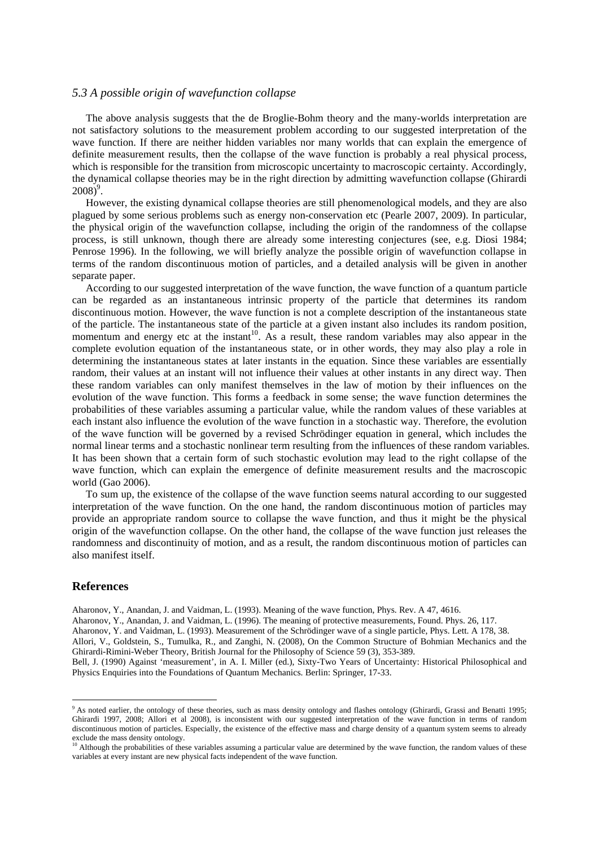### *5.3 A possible origin of wavefunction collapse*

The above analysis suggests that the de Broglie-Bohm theory and the many-worlds interpretation are not satisfactory solutions to the measurement problem according to our suggested interpretation of the wave function. If there are neither hidden variables nor many worlds that can explain the emergence of definite measurement results, then the collapse of the wave function is probably a real physical process, which is responsible for the transition from microscopic uncertainty to macroscopic certainty. Accordingly, the dynamical collapse theories may be in the right direction by admitting wavefunction collapse (Ghirardi  $2008)^9$ .

However, the existing dynamical collapse theories are still phenomenological models, and they are also plagued by some serious problems such as energy non-conservation etc (Pearle 2007, 2009). In particular, the physical origin of the wavefunction collapse, including the origin of the randomness of the collapse process, is still unknown, though there are already some interesting conjectures (see, e.g. Diosi 1984; Penrose 1996). In the following, we will briefly analyze the possible origin of wavefunction collapse in terms of the random discontinuous motion of particles, and a detailed analysis will be given in another separate paper.

According to our suggested interpretation of the wave function, the wave function of a quantum particle can be regarded as an instantaneous intrinsic property of the particle that determines its random discontinuous motion. However, the wave function is not a complete description of the instantaneous state of the particle. The instantaneous state of the particle at a given instant also includes its random position, momentum and energy etc at the instant<sup>10</sup>. As a result, these random variables may also appear in the complete evolution equation of the instantaneous state, or in other words, they may also play a role in determining the instantaneous states at later instants in the equation. Since these variables are essentially random, their values at an instant will not influence their values at other instants in any direct way. Then these random variables can only manifest themselves in the law of motion by their influences on the evolution of the wave function. This forms a feedback in some sense; the wave function determines the probabilities of these variables assuming a particular value, while the random values of these variables at each instant also influence the evolution of the wave function in a stochastic way. Therefore, the evolution of the wave function will be governed by a revised Schrödinger equation in general, which includes the normal linear terms and a stochastic nonlinear term resulting from the influences of these random variables. It has been shown that a certain form of such stochastic evolution may lead to the right collapse of the wave function, which can explain the emergence of definite measurement results and the macroscopic world (Gao 2006).

To sum up, the existence of the collapse of the wave function seems natural according to our suggested interpretation of the wave function. On the one hand, the random discontinuous motion of particles may provide an appropriate random source to collapse the wave function, and thus it might be the physical origin of the wavefunction collapse. On the other hand, the collapse of the wave function just releases the randomness and discontinuity of motion, and as a result, the random discontinuous motion of particles can also manifest itself.

#### **References**

Aharonov, Y., Anandan, J. and Vaidman, L. (1993). Meaning of the wave function, Phys. Rev. A 47, 4616.

Aharonov, Y., Anandan, J. and Vaidman, L. (1996). The meaning of protective measurements, Found. Phys. 26, 117.

Aharonov, Y. and Vaidman, L. (1993). Measurement of the Schrödinger wave of a single particle, Phys. Lett. A 178, 38. Allori, V., Goldstein, S., Tumulka, R., and Zanghi, N. (2008), On the Common Structure of Bohmian Mechanics and the Ghirardi-Rimini-Weber Theory, British Journal for the Philosophy of Science 59 (3), 353-389.

Bell, J. (1990) Against 'measurement', in A. I. Miller (ed.), Sixty-Two Years of Uncertainty: Historical Philosophical and Physics Enquiries into the Foundations of Quantum Mechanics. Berlin: Springer, 17-33.

<sup>&</sup>lt;sup>9</sup> As noted earlier, the ontology of these theories, such as mass density ontology and flashes ontology (Ghirardi, Grassi and Benatti 1995; Ghirardi 1997, 2008; Allori et al 2008), is inconsistent with our suggested interpretation of the wave function in terms of random discontinuous motion of particles. Especially, the existence of the effective mass and charge density of a quantum system seems to already exclude the mass density ontology.

 $10$  Although the probabilities of these variables assuming a particular value are determined by the wave function, the random values of these variables at every instant are new physical facts independent of the wave function.